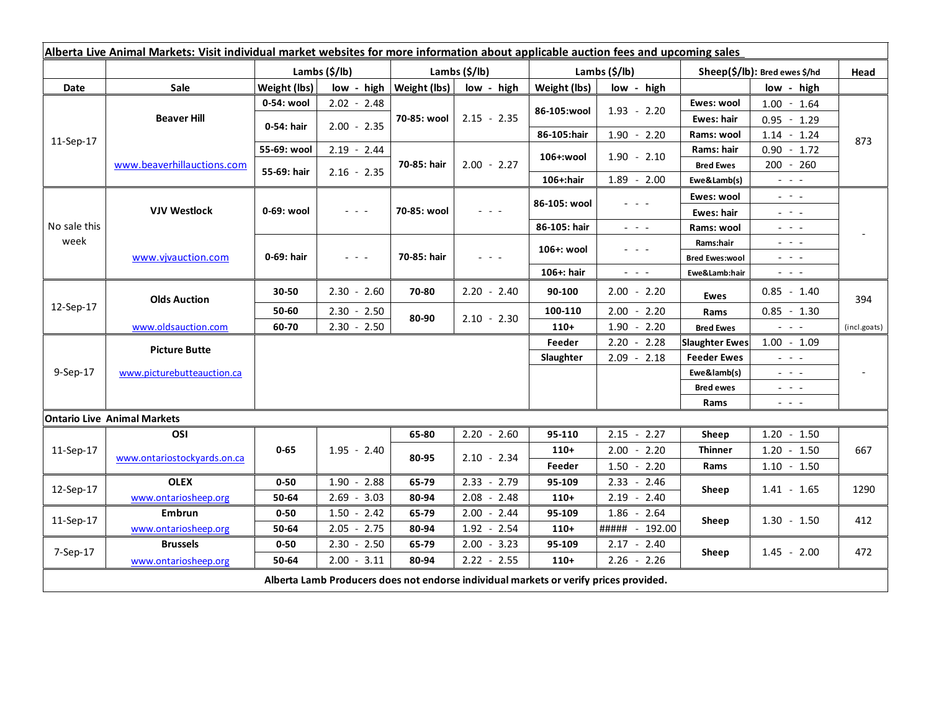| Alberta Live Animal Markets: Visit individual market websites for more information about applicable auction fees and upcoming sales |                             |               |                      |                           |               |                           |                                                                                                                           |                                  |                                                                                                                           |              |
|-------------------------------------------------------------------------------------------------------------------------------------|-----------------------------|---------------|----------------------|---------------------------|---------------|---------------------------|---------------------------------------------------------------------------------------------------------------------------|----------------------------------|---------------------------------------------------------------------------------------------------------------------------|--------------|
|                                                                                                                                     |                             | Lambs (\$/lb) |                      | Lambs $(\frac{2}{3})$ lb) |               | Lambs $(\frac{2}{3})$ lb) |                                                                                                                           | $Sheep(S/Ib)$ : Bred ewes $$/hd$ |                                                                                                                           | Head         |
| Date                                                                                                                                | Sale                        | Weight (lbs)  | low - high           | Weight (lbs)              | low - high    | Weight (lbs)              | low - high                                                                                                                |                                  | low - high                                                                                                                |              |
| 11-Sep-17                                                                                                                           | <b>Beaver Hill</b>          | 0-54: wool    | $2.02 - 2.48$        | 70-85: wool               | $2.15 - 2.35$ |                           | $1.93 - 2.20$                                                                                                             | Ewes: wool                       | $1.00 - 1.64$                                                                                                             | 873          |
|                                                                                                                                     |                             | 0-54: hair    | $2.00 - 2.35$        |                           |               | 86-105:wool               |                                                                                                                           | Ewes: hair                       | $0.95 - 1.29$                                                                                                             |              |
|                                                                                                                                     |                             |               |                      |                           |               | 86-105:hair               | $1.90 - 2.20$                                                                                                             | Rams: wool                       | $1.14 - 1.24$                                                                                                             |              |
|                                                                                                                                     | www.beaverhillauctions.com  | 55-69: wool   | $2.19 - 2.44$        | 70-85: hair               | $2.00 - 2.27$ | 106+:wool                 | $1.90 - 2.10$                                                                                                             | Rams: hair                       | $0.90 - 1.72$                                                                                                             |              |
|                                                                                                                                     |                             | 55-69: hair   | $2.16 - 2.35$        |                           |               |                           |                                                                                                                           | <b>Bred Ewes</b>                 | 200 - 260                                                                                                                 |              |
|                                                                                                                                     |                             |               |                      |                           |               | 106+:hair                 | $1.89 - 2.00$                                                                                                             | Ewe&Lamb(s)                      | $  -$                                                                                                                     |              |
| No sale this<br>week                                                                                                                | <b>VJV Westlock</b>         | 0-69: wool    | $  -$                | 70-85: wool               |               | 86-105: wool              |                                                                                                                           | Ewes: wool                       | $\frac{1}{2} \left( \frac{1}{2} \right) = \frac{1}{2} \left( \frac{1}{2} \right)$                                         |              |
|                                                                                                                                     |                             |               |                      |                           |               |                           |                                                                                                                           | Ewes: hair                       | $\frac{1}{2} \left( \frac{1}{2} \right) = \frac{1}{2} \left( \frac{1}{2} \right)$                                         |              |
|                                                                                                                                     |                             |               |                      |                           |               | 86-105: hair              | $\frac{1}{2} \left( \frac{1}{2} \right) = \frac{1}{2} \left( \frac{1}{2} \right) = \frac{1}{2}$                           | Rams: wool                       | $- - -$                                                                                                                   |              |
|                                                                                                                                     | www.vivauction.com          | 0-69: hair    | $\sim$ $\sim$ $\sim$ | 70-85: hair               | $  -$         | 106+: wool                | $  -$                                                                                                                     | Rams:hair                        | $  -$                                                                                                                     |              |
|                                                                                                                                     |                             |               |                      |                           |               |                           |                                                                                                                           | <b>Bred Ewes:wool</b>            | 20202                                                                                                                     |              |
|                                                                                                                                     |                             |               |                      |                           |               | 106+: hair                | $\frac{1}{2} \left( \frac{1}{2} \right) \left( \frac{1}{2} \right) \left( \frac{1}{2} \right) \left( \frac{1}{2} \right)$ | Ewe&Lamb:hair                    | $\frac{1}{2} \left( \frac{1}{2} \right) \left( \frac{1}{2} \right) \left( \frac{1}{2} \right) \left( \frac{1}{2} \right)$ |              |
| 12-Sep-17                                                                                                                           | <b>Olds Auction</b>         | 30-50         | $2.30 - 2.60$        | 70-80                     | $2.20 - 2.40$ | 90-100                    | $2.00 - 2.20$                                                                                                             | Ewes                             | $0.85 - 1.40$                                                                                                             | 394          |
|                                                                                                                                     |                             | 50-60         | $2.30 - 2.50$        | 80-90                     | $2.10 - 2.30$ | 100-110                   | $2.00 - 2.20$                                                                                                             | Rams                             | $0.85 - 1.30$                                                                                                             |              |
|                                                                                                                                     | www.oldsauction.com         | 60-70         | $2.30 - 2.50$        |                           |               | $110+$                    | 1.90<br>$-2.20$                                                                                                           | <b>Bred Ewes</b>                 | $\omega_{\rm{eff}}$ and $\omega_{\rm{eff}}$                                                                               | (incl.goats) |
| 9-Sep-17                                                                                                                            | <b>Picture Butte</b>        |               |                      |                           |               | Feeder                    | $2.20 - 2.28$                                                                                                             | <b>Slaughter Ewes</b>            | $1.00 - 1.09$                                                                                                             |              |
|                                                                                                                                     |                             |               |                      |                           |               | Slaughter                 | $2.09 - 2.18$                                                                                                             | <b>Feeder Ewes</b>               | $\frac{1}{2} \left( \frac{1}{2} \right) \left( \frac{1}{2} \right) \left( \frac{1}{2} \right) \left( \frac{1}{2} \right)$ |              |
|                                                                                                                                     | www.picturebutteauction.ca  |               |                      |                           |               |                           |                                                                                                                           | Ewe&lamb(s)                      | $\frac{1}{2} \left( \frac{1}{2} \right) = \frac{1}{2} \left( \frac{1}{2} \right) = \frac{1}{2}$                           |              |
|                                                                                                                                     |                             |               |                      |                           |               |                           |                                                                                                                           | <b>Bred ewes</b>                 | $\frac{1}{2} \left( \frac{1}{2} \right) = \frac{1}{2} \left( \frac{1}{2} \right)$                                         |              |
|                                                                                                                                     |                             |               |                      |                           |               |                           |                                                                                                                           | Rams                             | $\frac{1}{2} \left( \frac{1}{2} \right) = \frac{1}{2} \left( \frac{1}{2} \right)$                                         |              |
| <b>Ontario Live Animal Markets</b>                                                                                                  |                             |               |                      |                           |               |                           |                                                                                                                           |                                  |                                                                                                                           |              |
| 11-Sep-17                                                                                                                           | OSI                         | $0 - 65$      | $1.95 - 2.40$        | 65-80                     | $2.20 - 2.60$ | 95-110                    | $2.15 - 2.27$                                                                                                             | Sheep                            | $1.20 - 1.50$                                                                                                             | 667          |
|                                                                                                                                     | www.ontariostockyards.on.ca |               |                      | 80-95                     | $2.10 - 2.34$ | $110+$                    | $2.00 - 2.20$                                                                                                             | <b>Thinner</b><br>Rams           | $1.20 - 1.50$                                                                                                             |              |
|                                                                                                                                     |                             |               |                      |                           |               | Feeder                    | $1.50 - 2.20$                                                                                                             |                                  | $1.10 - 1.50$                                                                                                             |              |
| 12-Sep-17                                                                                                                           | <b>OLEX</b>                 | $0 - 50$      | $1.90 - 2.88$        | 65-79                     | $2.33 - 2.79$ | 95-109                    | $2.33 - 2.46$                                                                                                             | Sheep                            | $1.41 - 1.65$                                                                                                             | 1290         |
|                                                                                                                                     | www.ontariosheep.org        | 50-64         | $2.69 - 3.03$        | 80-94                     | $2.08 - 2.48$ | $110+$                    | $2.19 - 2.40$                                                                                                             |                                  |                                                                                                                           |              |
| 11-Sep-17                                                                                                                           | <b>Embrun</b>               | $0 - 50$      | $1.50 - 2.42$        | 65-79                     | $2.00 - 2.44$ | 95-109                    | $1.86 - 2.64$                                                                                                             | Sheep                            | $1.30 - 1.50$                                                                                                             | 412          |
|                                                                                                                                     | www.ontariosheep.org        | 50-64         | $2.05 - 2.75$        | 80-94                     | $1.92 - 2.54$ | $110+$                    | ##### - 192.00                                                                                                            |                                  |                                                                                                                           |              |
| $7-Sep-17$                                                                                                                          | <b>Brussels</b>             | $0 - 50$      | $2.30 - 2.50$        | 65-79                     | $2.00 - 3.23$ | 95-109                    | $2.17 - 2.40$                                                                                                             | Sheep                            | $1.45 - 2.00$                                                                                                             | 472          |
|                                                                                                                                     | www.ontariosheep.org        | 50-64         | $2.00 - 3.11$        | 80-94                     | $2.22 - 2.55$ | $110+$                    | $2.26 - 2.26$                                                                                                             |                                  |                                                                                                                           |              |
| Alberta Lamb Producers does not endorse individual markets or verify prices provided.                                               |                             |               |                      |                           |               |                           |                                                                                                                           |                                  |                                                                                                                           |              |